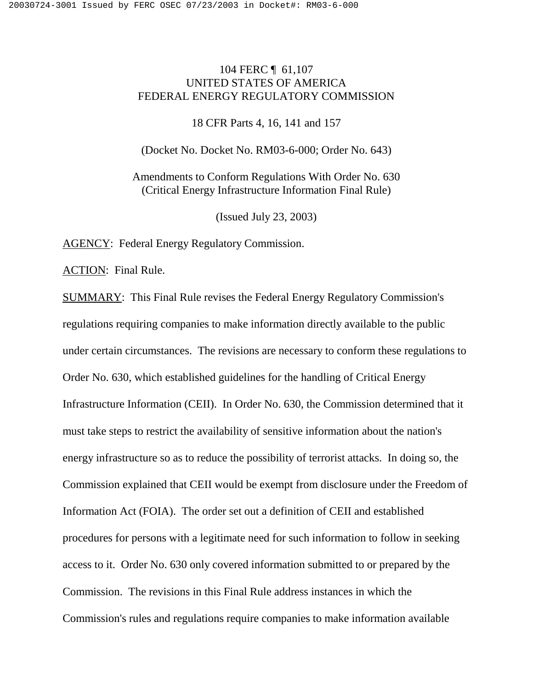#### 104 FERC ¶ 61,107 UNITED STATES OF AMERICA FEDERAL ENERGY REGULATORY COMMISSION

18 CFR Parts 4, 16, 141 and 157

(Docket No. Docket No. RM03-6-000; Order No. 643)

Amendments to Conform Regulations With Order No. 630 (Critical Energy Infrastructure Information Final Rule)

(Issued July 23, 2003)

AGENCY: Federal Energy Regulatory Commission.

ACTION: Final Rule.

SUMMARY: This Final Rule revises the Federal Energy Regulatory Commission's regulations requiring companies to make information directly available to the public under certain circumstances. The revisions are necessary to conform these regulations to Order No. 630, which established guidelines for the handling of Critical Energy Infrastructure Information (CEII). In Order No. 630, the Commission determined that it must take steps to restrict the availability of sensitive information about the nation's energy infrastructure so as to reduce the possibility of terrorist attacks. In doing so, the Commission explained that CEII would be exempt from disclosure under the Freedom of Information Act (FOIA). The order set out a definition of CEII and established procedures for persons with a legitimate need for such information to follow in seeking access to it. Order No. 630 only covered information submitted to or prepared by the Commission. The revisions in this Final Rule address instances in which the Commission's rules and regulations require companies to make information available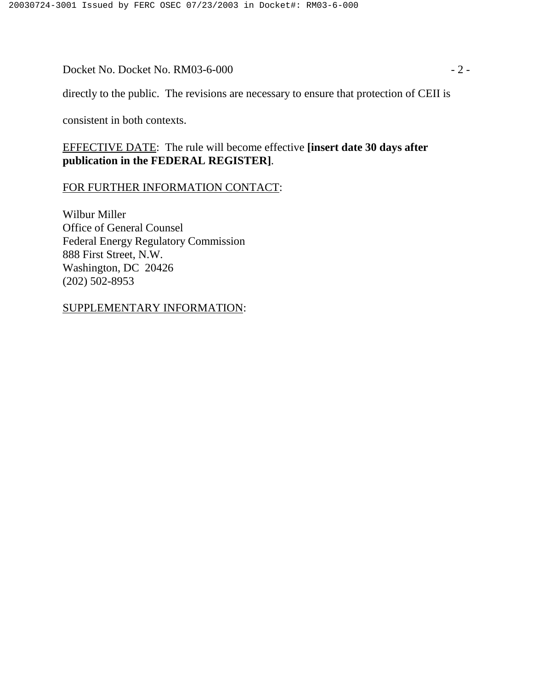Docket No. Docket No. RM03-6-000 - 2 -

directly to the public. The revisions are necessary to ensure that protection of CEII is

consistent in both contexts.

EFFECTIVE DATE: The rule will become effective **[insert date 30 days after publication in the FEDERAL REGISTER]**.

#### FOR FURTHER INFORMATION CONTACT:

Wilbur Miller Office of General Counsel Federal Energy Regulatory Commission 888 First Street, N.W. Washington, DC 20426 (202) 502-8953

SUPPLEMENTARY INFORMATION: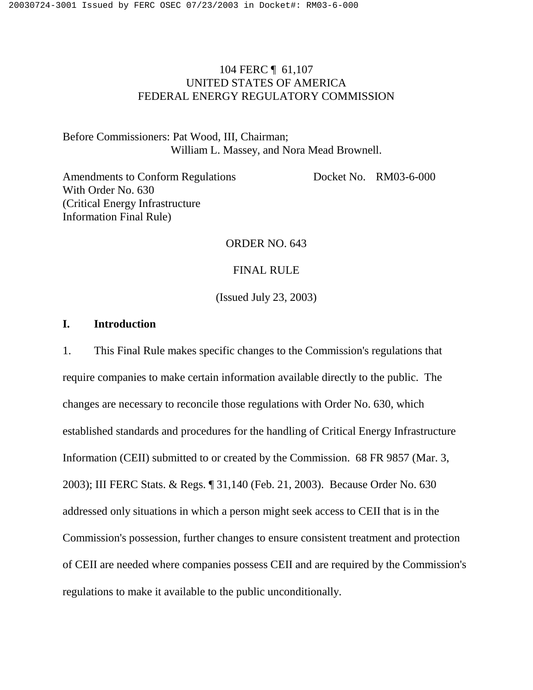#### 104 FERC ¶ 61,107 UNITED STATES OF AMERICA FEDERAL ENERGY REGULATORY COMMISSION

Before Commissioners: Pat Wood, III, Chairman; William L. Massey, and Nora Mead Brownell.

Amendments to Conform Regulations Docket No. RM03-6-000 With Order No. 630 (Critical Energy Infrastructure Information Final Rule)

ORDER NO. 643

#### FINAL RULE

(Issued July 23, 2003)

#### **I. Introduction**

1. This Final Rule makes specific changes to the Commission's regulations that require companies to make certain information available directly to the public. The changes are necessary to reconcile those regulations with Order No. 630, which established standards and procedures for the handling of Critical Energy Infrastructure Information (CEII) submitted to or created by the Commission. 68 FR 9857 (Mar. 3, 2003); III FERC Stats. & Regs. ¶ 31,140 (Feb. 21, 2003). Because Order No. 630 addressed only situations in which a person might seek access to CEII that is in the Commission's possession, further changes to ensure consistent treatment and protection of CEII are needed where companies possess CEII and are required by the Commission's regulations to make it available to the public unconditionally.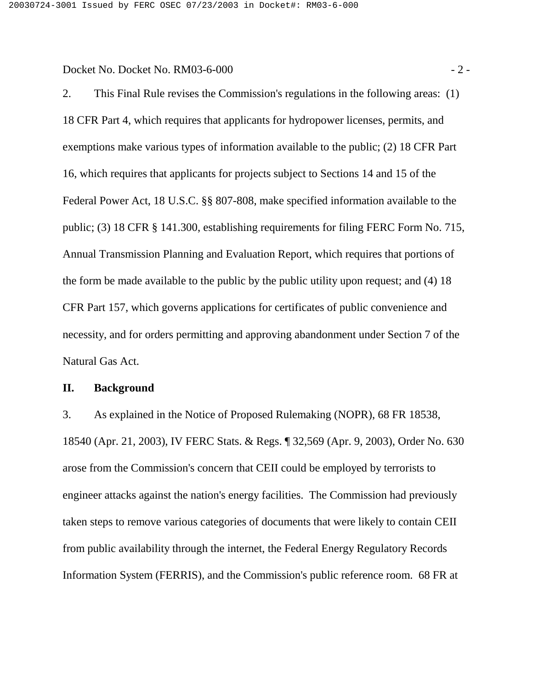#### Docket No. Docket No. RM03-6-000 - 2 -

2. This Final Rule revises the Commission's regulations in the following areas: (1) 18 CFR Part 4, which requires that applicants for hydropower licenses, permits, and exemptions make various types of information available to the public; (2) 18 CFR Part 16, which requires that applicants for projects subject to Sections 14 and 15 of the Federal Power Act, 18 U.S.C. §§ 807-808, make specified information available to the public; (3) 18 CFR § 141.300, establishing requirements for filing FERC Form No. 715, Annual Transmission Planning and Evaluation Report, which requires that portions of the form be made available to the public by the public utility upon request; and (4) 18 CFR Part 157, which governs applications for certificates of public convenience and necessity, and for orders permitting and approving abandonment under Section 7 of the Natural Gas Act.

#### **II. Background**

3. As explained in the Notice of Proposed Rulemaking (NOPR), 68 FR 18538, 18540 (Apr. 21, 2003), IV FERC Stats. & Regs. ¶ 32,569 (Apr. 9, 2003), Order No. 630 arose from the Commission's concern that CEII could be employed by terrorists to engineer attacks against the nation's energy facilities. The Commission had previously taken steps to remove various categories of documents that were likely to contain CEII from public availability through the internet, the Federal Energy Regulatory Records Information System (FERRIS), and the Commission's public reference room. 68 FR at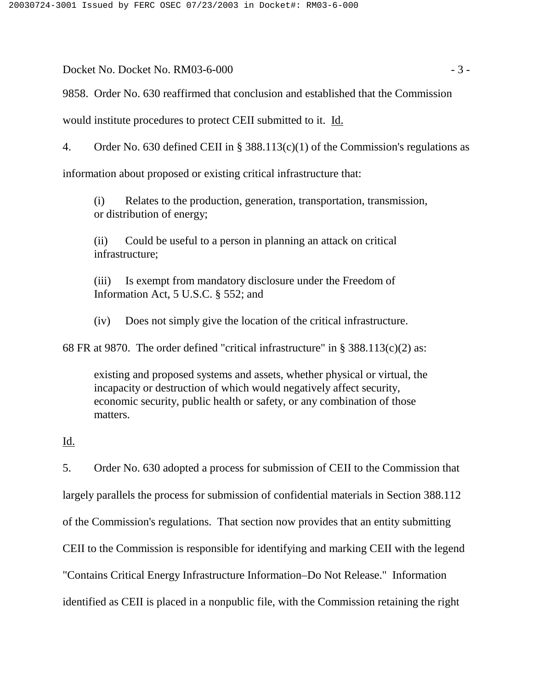Docket No. Docket No. RM03-6-000 - 3 -

9858. Order No. 630 reaffirmed that conclusion and established that the Commission

would institute procedures to protect CEII submitted to it. Id.

4. Order No. 630 defined CEII in § 388.113(c)(1) of the Commission's regulations as

information about proposed or existing critical infrastructure that:

(i) Relates to the production, generation, transportation, transmission, or distribution of energy;

(ii) Could be useful to a person in planning an attack on critical infrastructure;

(iii) Is exempt from mandatory disclosure under the Freedom of Information Act, 5 U.S.C. § 552; and

(iv) Does not simply give the location of the critical infrastructure.

68 FR at 9870. The order defined "critical infrastructure" in  $\S$  388.113(c)(2) as:

existing and proposed systems and assets, whether physical or virtual, the incapacity or destruction of which would negatively affect security, economic security, public health or safety, or any combination of those matters.

Id.

5. Order No. 630 adopted a process for submission of CEII to the Commission that largely parallels the process for submission of confidential materials in Section 388.112 of the Commission's regulations. That section now provides that an entity submitting CEII to the Commission is responsible for identifying and marking CEII with the legend "Contains Critical Energy Infrastructure Information–Do Not Release." Information identified as CEII is placed in a nonpublic file, with the Commission retaining the right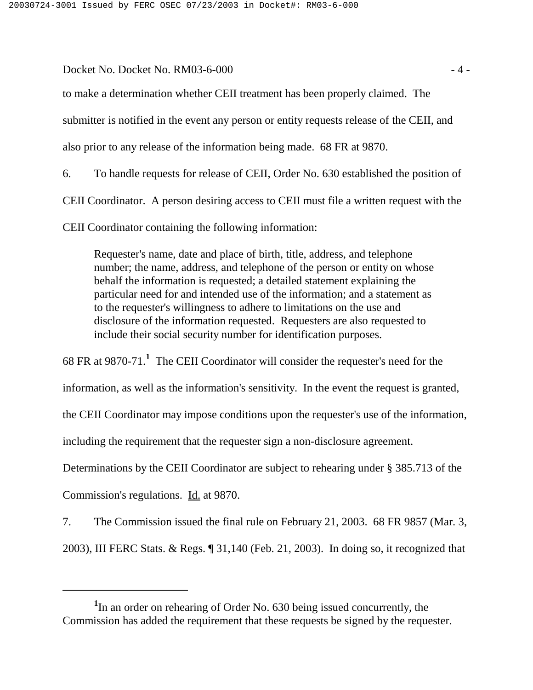#### Docket No. Docket No. RM03-6-000 - 4 -

to make a determination whether CEII treatment has been properly claimed. The

submitter is notified in the event any person or entity requests release of the CEII, and

also prior to any release of the information being made. 68 FR at 9870.

6. To handle requests for release of CEII, Order No. 630 established the position of

CEII Coordinator. A person desiring access to CEII must file a written request with the

CEII Coordinator containing the following information:

Requester's name, date and place of birth, title, address, and telephone number; the name, address, and telephone of the person or entity on whose behalf the information is requested; a detailed statement explaining the particular need for and intended use of the information; and a statement as to the requester's willingness to adhere to limitations on the use and disclosure of the information requested. Requesters are also requested to include their social security number for identification purposes.

68 FR at 9870-71.**<sup>1</sup>** The CEII Coordinator will consider the requester's need for the

information, as well as the information's sensitivity. In the event the request is granted,

the CEII Coordinator may impose conditions upon the requester's use of the information,

including the requirement that the requester sign a non-disclosure agreement.

Determinations by the CEII Coordinator are subject to rehearing under § 385.713 of the

Commission's regulations. Id. at 9870.

7. The Commission issued the final rule on February 21, 2003. 68 FR 9857 (Mar. 3,

2003), III FERC Stats. & Regs. ¶ 31,140 (Feb. 21, 2003). In doing so, it recognized that

<sup>&</sup>lt;sup>1</sup>In an order on rehearing of Order No. 630 being issued concurrently, the Commission has added the requirement that these requests be signed by the requester.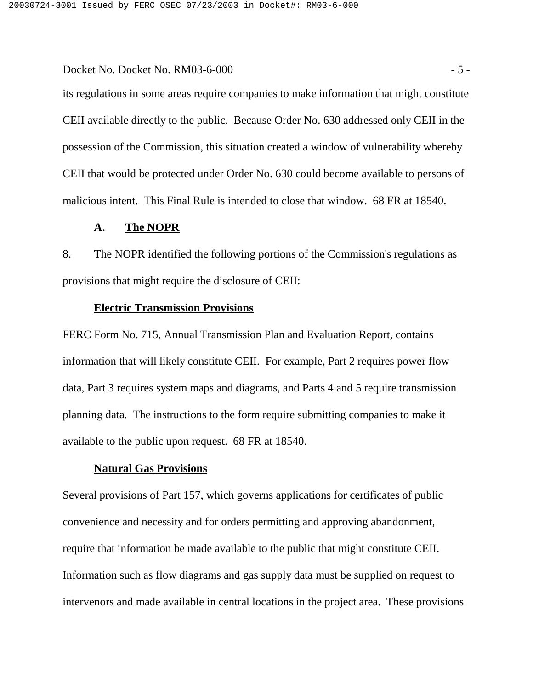#### Docket No. Docket No. RM03-6-000 - 5 -

its regulations in some areas require companies to make information that might constitute CEII available directly to the public. Because Order No. 630 addressed only CEII in the possession of the Commission, this situation created a window of vulnerability whereby CEII that would be protected under Order No. 630 could become available to persons of malicious intent. This Final Rule is intended to close that window. 68 FR at 18540.

#### **A. The NOPR**

8. The NOPR identified the following portions of the Commission's regulations as provisions that might require the disclosure of CEII:

#### **Electric Transmission Provisions**

FERC Form No. 715, Annual Transmission Plan and Evaluation Report, contains information that will likely constitute CEII. For example, Part 2 requires power flow data, Part 3 requires system maps and diagrams, and Parts 4 and 5 require transmission planning data. The instructions to the form require submitting companies to make it available to the public upon request. 68 FR at 18540.

#### **Natural Gas Provisions**

Several provisions of Part 157, which governs applications for certificates of public convenience and necessity and for orders permitting and approving abandonment, require that information be made available to the public that might constitute CEII. Information such as flow diagrams and gas supply data must be supplied on request to intervenors and made available in central locations in the project area. These provisions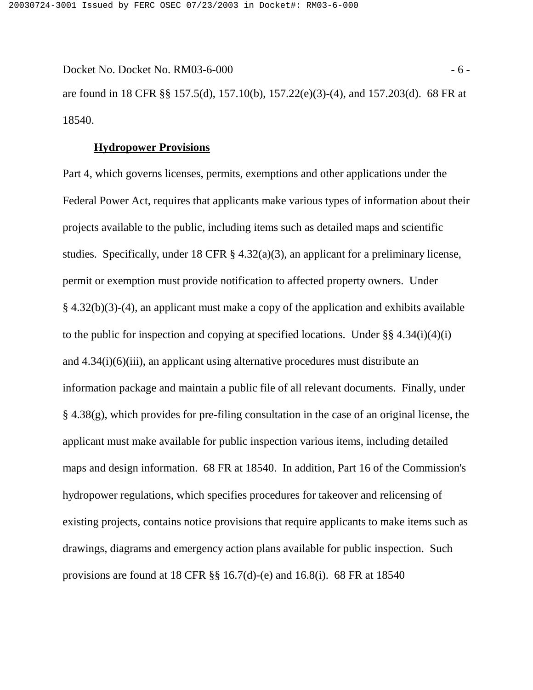Docket No. Docket No. RM03-6-000 - 6 are found in 18 CFR §§ 157.5(d), 157.10(b), 157.22(e)(3)-(4), and 157.203(d). 68 FR at 18540.

#### **Hydropower Provisions**

Part 4, which governs licenses, permits, exemptions and other applications under the Federal Power Act, requires that applicants make various types of information about their projects available to the public, including items such as detailed maps and scientific studies. Specifically, under 18 CFR § 4.32(a)(3), an applicant for a preliminary license, permit or exemption must provide notification to affected property owners. Under § 4.32(b)(3)-(4), an applicant must make a copy of the application and exhibits available to the public for inspection and copying at specified locations. Under §§ 4.34(i)(4)(i) and 4.34(i)(6)(iii), an applicant using alternative procedures must distribute an information package and maintain a public file of all relevant documents. Finally, under § 4.38(g), which provides for pre-filing consultation in the case of an original license, the applicant must make available for public inspection various items, including detailed maps and design information. 68 FR at 18540. In addition, Part 16 of the Commission's hydropower regulations, which specifies procedures for takeover and relicensing of existing projects, contains notice provisions that require applicants to make items such as drawings, diagrams and emergency action plans available for public inspection. Such provisions are found at 18 CFR §§ 16.7(d)-(e) and 16.8(i). 68 FR at 18540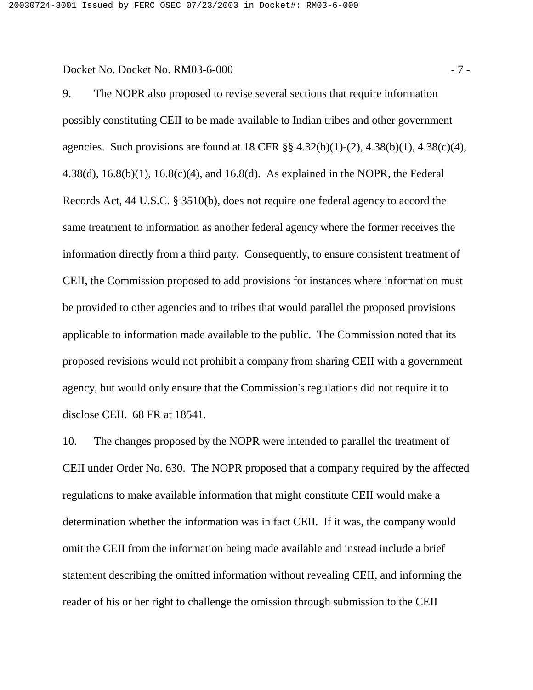Docket No. Docket No. RM03-6-000 - 7 -

9. The NOPR also proposed to revise several sections that require information possibly constituting CEII to be made available to Indian tribes and other government agencies. Such provisions are found at  $18 \text{ CFR }$   $\S$ §  $4.32(b)(1)-(2)$ ,  $4.38(b)(1)$ ,  $4.38(c)(4)$ , 4.38(d), 16.8(b)(1), 16.8(c)(4), and 16.8(d). As explained in the NOPR, the Federal Records Act, 44 U.S.C. § 3510(b), does not require one federal agency to accord the same treatment to information as another federal agency where the former receives the information directly from a third party. Consequently, to ensure consistent treatment of CEII, the Commission proposed to add provisions for instances where information must be provided to other agencies and to tribes that would parallel the proposed provisions applicable to information made available to the public. The Commission noted that its proposed revisions would not prohibit a company from sharing CEII with a government agency, but would only ensure that the Commission's regulations did not require it to disclose CEII. 68 FR at 18541.

10. The changes proposed by the NOPR were intended to parallel the treatment of CEII under Order No. 630. The NOPR proposed that a company required by the affected regulations to make available information that might constitute CEII would make a determination whether the information was in fact CEII. If it was, the company would omit the CEII from the information being made available and instead include a brief statement describing the omitted information without revealing CEII, and informing the reader of his or her right to challenge the omission through submission to the CEII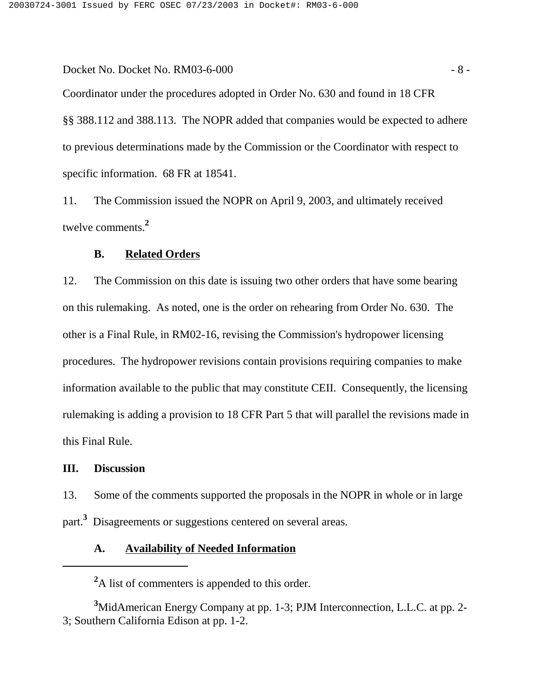#### Docket No. Docket No. RM03-6-000 - 8 -

Coordinator under the procedures adopted in Order No. 630 and found in 18 CFR §§ 388.112 and 388.113. The NOPR added that companies would be expected to adhere to previous determinations made by the Commission or the Coordinator with respect to specific information. 68 FR at 18541.

11. The Commission issued the NOPR on April 9, 2003, and ultimately received twelve comments.**<sup>2</sup>**

#### **B. Related Orders**

12. The Commission on this date is issuing two other orders that have some bearing on this rulemaking. As noted, one is the order on rehearing from Order No. 630. The other is a Final Rule, in RM02-16, revising the Commission's hydropower licensing procedures. The hydropower revisions contain provisions requiring companies to make information available to the public that may constitute CEII. Consequently, the licensing rulemaking is adding a provision to 18 CFR Part 5 that will parallel the revisions made in this Final Rule.

#### **III. Discussion**

13. Some of the comments supported the proposals in the NOPR in whole or in large part.**<sup>3</sup>** Disagreements or suggestions centered on several areas.

#### **A. Availability of Needed Information**

<sup>2</sup>A list of commenters is appended to this order.

**<sup>3</sup>** MidAmerican Energy Company at pp. 1-3; PJM Interconnection, L.L.C. at pp. 2- 3; Southern California Edison at pp. 1-2.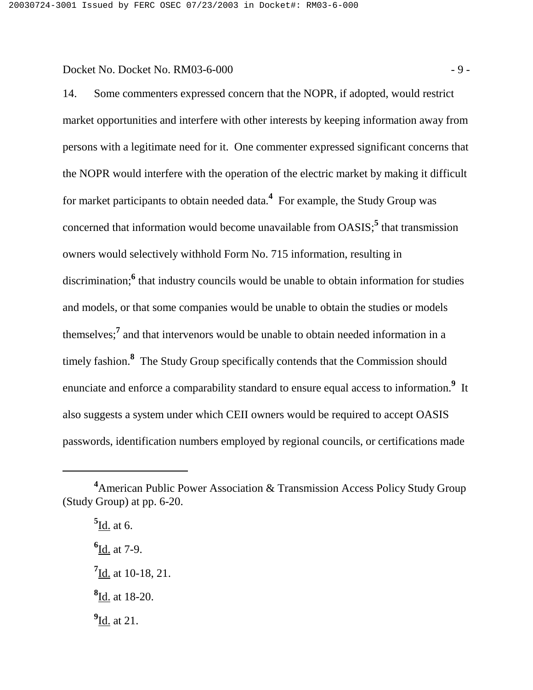#### Docket No. Docket No. RM03-6-000 - 9 -

14. Some commenters expressed concern that the NOPR, if adopted, would restrict market opportunities and interfere with other interests by keeping information away from persons with a legitimate need for it. One commenter expressed significant concerns that the NOPR would interfere with the operation of the electric market by making it difficult for market participants to obtain needed data.**<sup>4</sup>** For example, the Study Group was concerned that information would become unavailable from OASIS;**<sup>5</sup>** that transmission owners would selectively withhold Form No. 715 information, resulting in discrimination;**<sup>6</sup>** that industry councils would be unable to obtain information for studies and models, or that some companies would be unable to obtain the studies or models themselves;**<sup>7</sup>** and that intervenors would be unable to obtain needed information in a timely fashion.**<sup>8</sup>** The Study Group specifically contends that the Commission should enunciate and enforce a comparability standard to ensure equal access to information.<sup>9</sup> It also suggests a system under which CEII owners would be required to accept OASIS passwords, identification numbers employed by regional councils, or certifications made

- **7** Id. at 10-18, 21.
- **8** Id. at 18-20.
- **9** Id. at 21.

**<sup>4</sup>** American Public Power Association & Transmission Access Policy Study Group (Study Group) at pp. 6-20.

**<sup>5</sup>** Id. at 6.

**<sup>6</sup>** Id. at 7-9.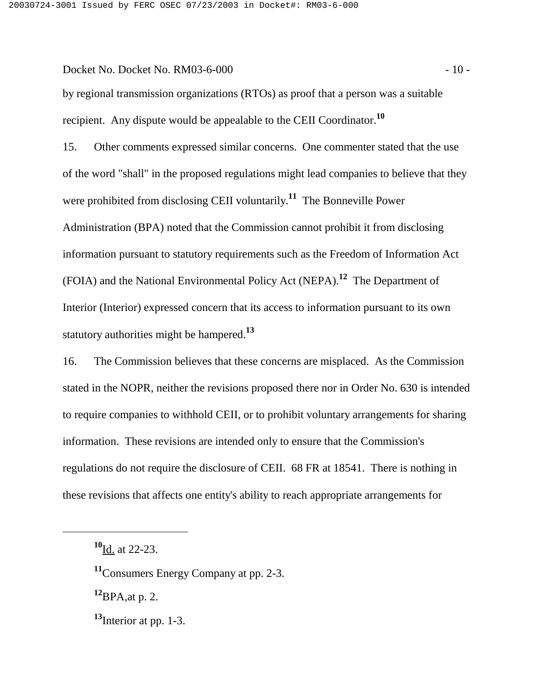#### Docket No. Docket No. RM03-6-000 - 10 - 10 -

by regional transmission organizations (RTOs) as proof that a person was a suitable recipient. Any dispute would be appealable to the CEII Coordinator.**<sup>10</sup>**

15. Other comments expressed similar concerns. One commenter stated that the use of the word "shall" in the proposed regulations might lead companies to believe that they were prohibited from disclosing CEII voluntarily.**11** The Bonneville Power Administration (BPA) noted that the Commission cannot prohibit it from disclosing information pursuant to statutory requirements such as the Freedom of Information Act (FOIA) and the National Environmental Policy Act (NEPA).**12** The Department of Interior (Interior) expressed concern that its access to information pursuant to its own statutory authorities might be hampered.**<sup>13</sup>**

16. The Commission believes that these concerns are misplaced. As the Commission stated in the NOPR, neither the revisions proposed there nor in Order No. 630 is intended to require companies to withhold CEII, or to prohibit voluntary arrangements for sharing information. These revisions are intended only to ensure that the Commission's regulations do not require the disclosure of CEII. 68 FR at 18541. There is nothing in these revisions that affects one entity's ability to reach appropriate arrangements for

**<sup>11</sup>**Consumers Energy Company at pp. 2-3.

**<sup>12</sup>**BPA,at p. 2.

**<sup>13</sup>**Interior at pp. 1-3.

**<sup>10</sup>**Id. at 22-23.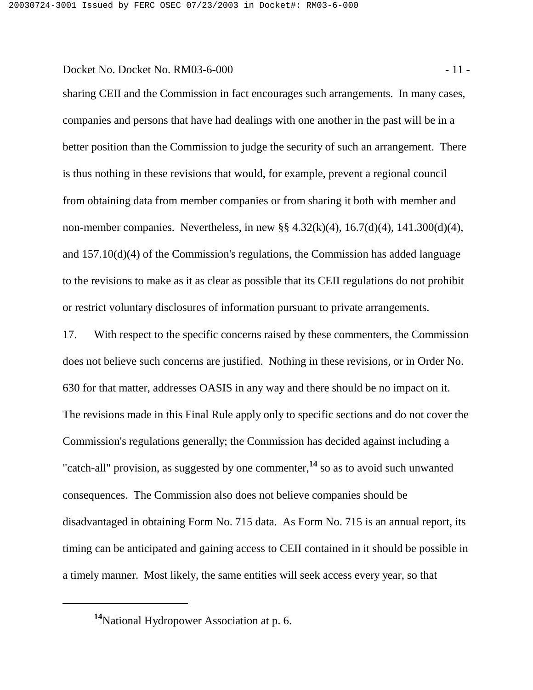#### Docket No. Docket No. RM03-6-000 - 11 -

sharing CEII and the Commission in fact encourages such arrangements. In many cases, companies and persons that have had dealings with one another in the past will be in a better position than the Commission to judge the security of such an arrangement. There is thus nothing in these revisions that would, for example, prevent a regional council from obtaining data from member companies or from sharing it both with member and non-member companies. Nevertheless, in new §§ 4.32(k)(4), 16.7(d)(4), 141.300(d)(4), and 157.10(d)(4) of the Commission's regulations, the Commission has added language to the revisions to make as it as clear as possible that its CEII regulations do not prohibit or restrict voluntary disclosures of information pursuant to private arrangements.

17. With respect to the specific concerns raised by these commenters, the Commission does not believe such concerns are justified. Nothing in these revisions, or in Order No. 630 for that matter, addresses OASIS in any way and there should be no impact on it. The revisions made in this Final Rule apply only to specific sections and do not cover the Commission's regulations generally; the Commission has decided against including a "catch-all" provision, as suggested by one commenter,**14** so as to avoid such unwanted consequences. The Commission also does not believe companies should be disadvantaged in obtaining Form No. 715 data. As Form No. 715 is an annual report, its timing can be anticipated and gaining access to CEII contained in it should be possible in a timely manner. Most likely, the same entities will seek access every year, so that

**<sup>14</sup>**National Hydropower Association at p. 6.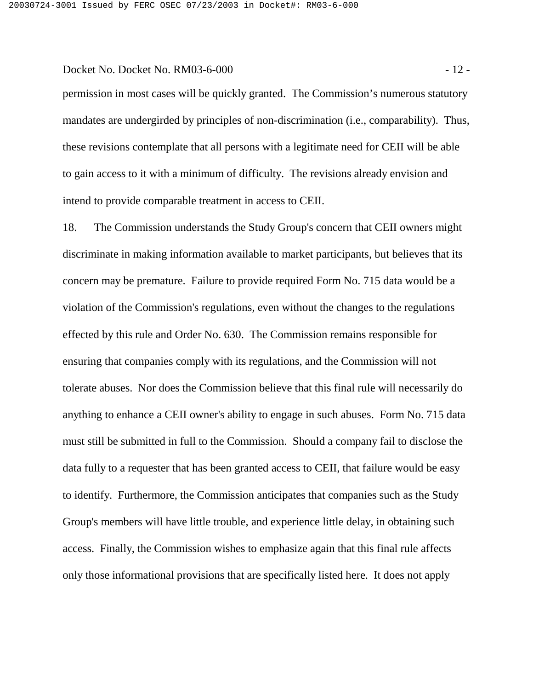#### Docket No. Docket No. RM03-6-000 - 12 -

permission in most cases will be quickly granted. The Commission's numerous statutory mandates are undergirded by principles of non-discrimination (i.e., comparability). Thus, these revisions contemplate that all persons with a legitimate need for CEII will be able to gain access to it with a minimum of difficulty. The revisions already envision and intend to provide comparable treatment in access to CEII.

18. The Commission understands the Study Group's concern that CEII owners might discriminate in making information available to market participants, but believes that its concern may be premature. Failure to provide required Form No. 715 data would be a violation of the Commission's regulations, even without the changes to the regulations effected by this rule and Order No. 630. The Commission remains responsible for ensuring that companies comply with its regulations, and the Commission will not tolerate abuses. Nor does the Commission believe that this final rule will necessarily do anything to enhance a CEII owner's ability to engage in such abuses. Form No. 715 data must still be submitted in full to the Commission. Should a company fail to disclose the data fully to a requester that has been granted access to CEII, that failure would be easy to identify. Furthermore, the Commission anticipates that companies such as the Study Group's members will have little trouble, and experience little delay, in obtaining such access. Finally, the Commission wishes to emphasize again that this final rule affects only those informational provisions that are specifically listed here. It does not apply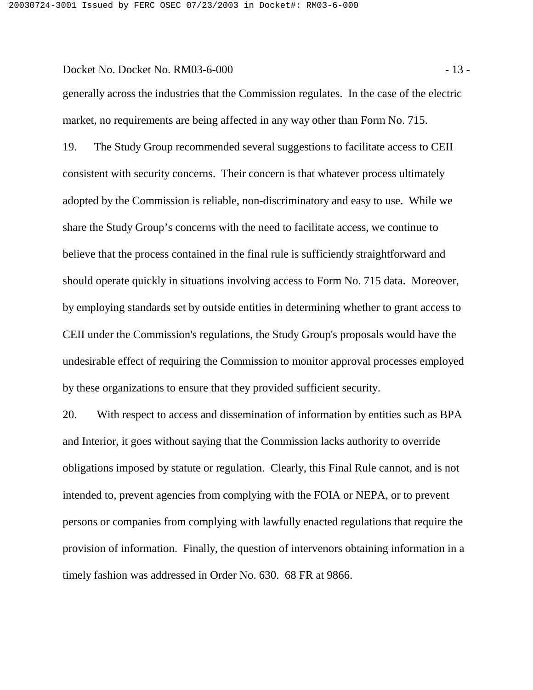#### Docket No. Docket No. RM03-6-000 - 13 -

generally across the industries that the Commission regulates. In the case of the electric market, no requirements are being affected in any way other than Form No. 715.

19. The Study Group recommended several suggestions to facilitate access to CEII consistent with security concerns. Their concern is that whatever process ultimately adopted by the Commission is reliable, non-discriminatory and easy to use. While we share the Study Group's concerns with the need to facilitate access, we continue to believe that the process contained in the final rule is sufficiently straightforward and should operate quickly in situations involving access to Form No. 715 data. Moreover, by employing standards set by outside entities in determining whether to grant access to CEII under the Commission's regulations, the Study Group's proposals would have the undesirable effect of requiring the Commission to monitor approval processes employed by these organizations to ensure that they provided sufficient security.

20. With respect to access and dissemination of information by entities such as BPA and Interior, it goes without saying that the Commission lacks authority to override obligations imposed by statute or regulation. Clearly, this Final Rule cannot, and is not intended to, prevent agencies from complying with the FOIA or NEPA, or to prevent persons or companies from complying with lawfully enacted regulations that require the provision of information. Finally, the question of intervenors obtaining information in a timely fashion was addressed in Order No. 630. 68 FR at 9866.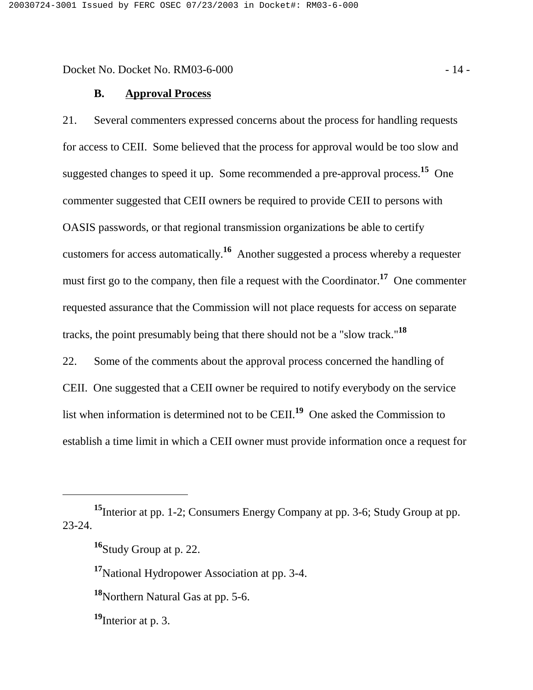Docket No. Docket No. RM03-6-000 - 14 -

21. Several commenters expressed concerns about the process for handling requests for access to CEII. Some believed that the process for approval would be too slow and suggested changes to speed it up. Some recommended a pre-approval process.**15** One commenter suggested that CEII owners be required to provide CEII to persons with OASIS passwords, or that regional transmission organizations be able to certify customers for access automatically.**16** Another suggested a process whereby a requester must first go to the company, then file a request with the Coordinator.<sup>17</sup> One commenter requested assurance that the Commission will not place requests for access on separate tracks, the point presumably being that there should not be a "slow track."**<sup>18</sup>**

22. Some of the comments about the approval process concerned the handling of CEII. One suggested that a CEII owner be required to notify everybody on the service list when information is determined not to be CEII.**19** One asked the Commission to establish a time limit in which a CEII owner must provide information once a request for

**<sup>17</sup>**National Hydropower Association at pp. 3-4.

**<sup>19</sup>**Interior at p. 3.

**<sup>15</sup>**Interior at pp. 1-2; Consumers Energy Company at pp. 3-6; Study Group at pp. 23-24.

**<sup>16</sup>**Study Group at p. 22.

**<sup>18</sup>**Northern Natural Gas at pp. 5-6.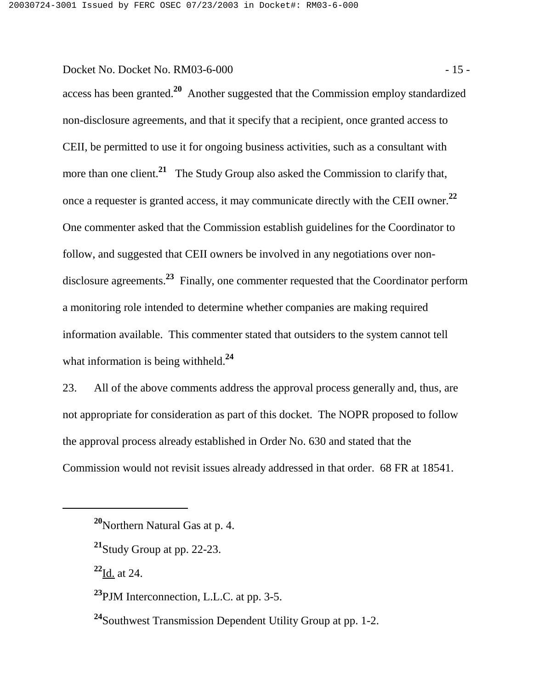Docket No. Docket No. RM03-6-000 - 15 -

access has been granted.**20** Another suggested that the Commission employ standardized non-disclosure agreements, and that it specify that a recipient, once granted access to CEII, be permitted to use it for ongoing business activities, such as a consultant with more than one client.<sup>21</sup> The Study Group also asked the Commission to clarify that, once a requester is granted access, it may communicate directly with the CEII owner.**<sup>22</sup>** One commenter asked that the Commission establish guidelines for the Coordinator to follow, and suggested that CEII owners be involved in any negotiations over nondisclosure agreements.**23** Finally, one commenter requested that the Coordinator perform a monitoring role intended to determine whether companies are making required information available. This commenter stated that outsiders to the system cannot tell what information is being withheld.**<sup>24</sup>**

23. All of the above comments address the approval process generally and, thus, are not appropriate for consideration as part of this docket. The NOPR proposed to follow the approval process already established in Order No. 630 and stated that the Commission would not revisit issues already addressed in that order. 68 FR at 18541.

**<sup>22</sup>**Id. at 24.

**<sup>20</sup>**Northern Natural Gas at p. 4.

**<sup>21</sup>**Study Group at pp. 22-23.

**<sup>23</sup>**PJM Interconnection, L.L.C. at pp. 3-5.

**<sup>24</sup>**Southwest Transmission Dependent Utility Group at pp. 1-2.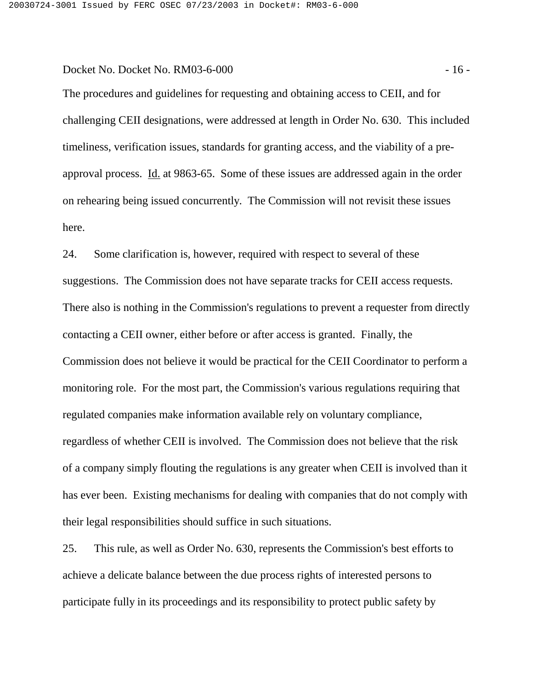#### Docket No. Docket No. RM03-6-000 - 16 - 16 -

The procedures and guidelines for requesting and obtaining access to CEII, and for challenging CEII designations, were addressed at length in Order No. 630. This included timeliness, verification issues, standards for granting access, and the viability of a preapproval process. Id. at 9863-65. Some of these issues are addressed again in the order on rehearing being issued concurrently. The Commission will not revisit these issues here.

24. Some clarification is, however, required with respect to several of these suggestions. The Commission does not have separate tracks for CEII access requests. There also is nothing in the Commission's regulations to prevent a requester from directly contacting a CEII owner, either before or after access is granted. Finally, the Commission does not believe it would be practical for the CEII Coordinator to perform a monitoring role. For the most part, the Commission's various regulations requiring that regulated companies make information available rely on voluntary compliance, regardless of whether CEII is involved. The Commission does not believe that the risk of a company simply flouting the regulations is any greater when CEII is involved than it has ever been. Existing mechanisms for dealing with companies that do not comply with their legal responsibilities should suffice in such situations.

25. This rule, as well as Order No. 630, represents the Commission's best efforts to achieve a delicate balance between the due process rights of interested persons to participate fully in its proceedings and its responsibility to protect public safety by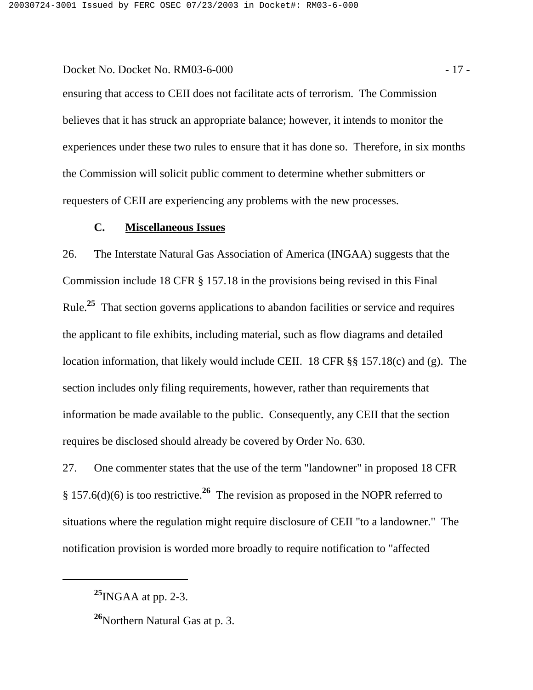#### Docket No. Docket No. RM03-6-000 - 17 -

ensuring that access to CEII does not facilitate acts of terrorism. The Commission believes that it has struck an appropriate balance; however, it intends to monitor the experiences under these two rules to ensure that it has done so. Therefore, in six months the Commission will solicit public comment to determine whether submitters or requesters of CEII are experiencing any problems with the new processes.

#### **C. Miscellaneous Issues**

26. The Interstate Natural Gas Association of America (INGAA) suggests that the Commission include 18 CFR § 157.18 in the provisions being revised in this Final Rule.**25** That section governs applications to abandon facilities or service and requires the applicant to file exhibits, including material, such as flow diagrams and detailed location information, that likely would include CEII. 18 CFR §§ 157.18(c) and (g). The section includes only filing requirements, however, rather than requirements that information be made available to the public. Consequently, any CEII that the section requires be disclosed should already be covered by Order No. 630.

27. One commenter states that the use of the term "landowner" in proposed 18 CFR § 157.6(d)(6) is too restrictive.**26** The revision as proposed in the NOPR referred to situations where the regulation might require disclosure of CEII "to a landowner." The notification provision is worded more broadly to require notification to "affected

**<sup>25</sup>**INGAA at pp. 2-3.

**<sup>26</sup>**Northern Natural Gas at p. 3.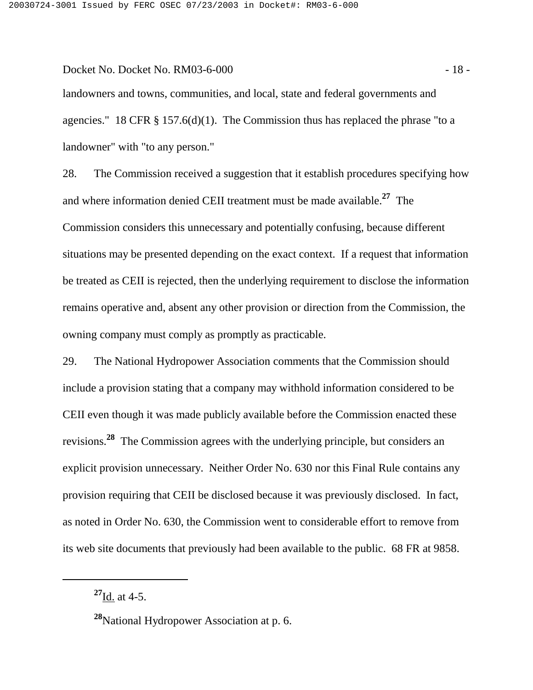#### Docket No. Docket No. RM03-6-000 - 18 -

landowners and towns, communities, and local, state and federal governments and agencies." 18 CFR  $\S$  157.6(d)(1). The Commission thus has replaced the phrase "to a landowner" with "to any person."

28. The Commission received a suggestion that it establish procedures specifying how and where information denied CEII treatment must be made available.**27** The Commission considers this unnecessary and potentially confusing, because different situations may be presented depending on the exact context. If a request that information be treated as CEII is rejected, then the underlying requirement to disclose the information remains operative and, absent any other provision or direction from the Commission, the owning company must comply as promptly as practicable.

29. The National Hydropower Association comments that the Commission should include a provision stating that a company may withhold information considered to be CEII even though it was made publicly available before the Commission enacted these revisions.**28** The Commission agrees with the underlying principle, but considers an explicit provision unnecessary. Neither Order No. 630 nor this Final Rule contains any provision requiring that CEII be disclosed because it was previously disclosed. In fact, as noted in Order No. 630, the Commission went to considerable effort to remove from its web site documents that previously had been available to the public. 68 FR at 9858.

**<sup>27</sup>**Id. at 4-5.

**<sup>28</sup>**National Hydropower Association at p. 6.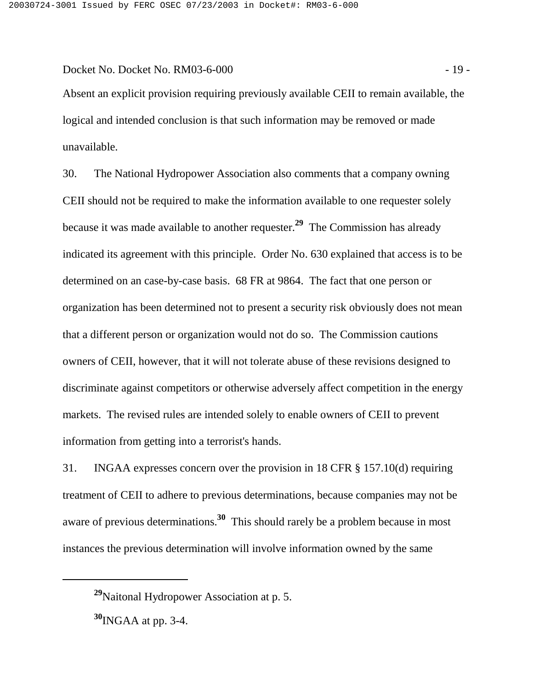Docket No. Docket No. RM03-6-000 - 19 - 19 -

Absent an explicit provision requiring previously available CEII to remain available, the logical and intended conclusion is that such information may be removed or made unavailable.

30. The National Hydropower Association also comments that a company owning CEII should not be required to make the information available to one requester solely because it was made available to another requester.**29** The Commission has already indicated its agreement with this principle. Order No. 630 explained that access is to be determined on an case-by-case basis. 68 FR at 9864. The fact that one person or organization has been determined not to present a security risk obviously does not mean that a different person or organization would not do so. The Commission cautions owners of CEII, however, that it will not tolerate abuse of these revisions designed to discriminate against competitors or otherwise adversely affect competition in the energy markets. The revised rules are intended solely to enable owners of CEII to prevent information from getting into a terrorist's hands.

31. INGAA expresses concern over the provision in 18 CFR § 157.10(d) requiring treatment of CEII to adhere to previous determinations, because companies may not be aware of previous determinations.**30** This should rarely be a problem because in most instances the previous determination will involve information owned by the same

**<sup>29</sup>**Naitonal Hydropower Association at p. 5.

**<sup>30</sup>**INGAA at pp. 3-4.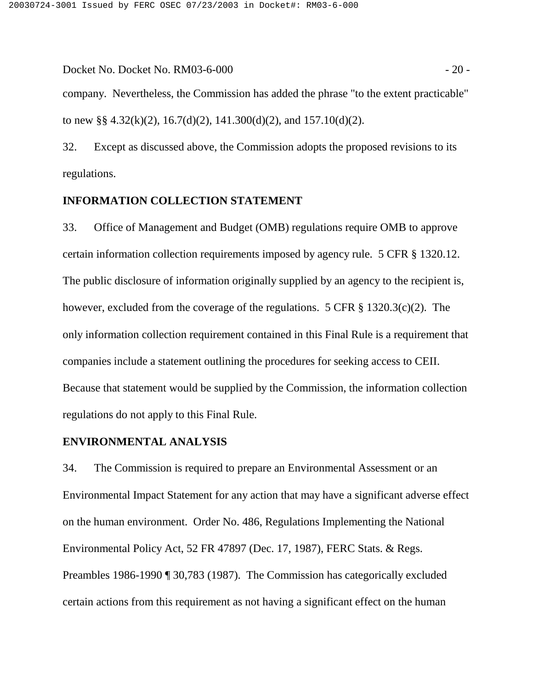Docket No. Docket No. RM03-6-000 - 20 - 20 company. Nevertheless, the Commission has added the phrase "to the extent practicable" to new §§  $4.32(k)(2)$ ,  $16.7(d)(2)$ ,  $141.300(d)(2)$ , and  $157.10(d)(2)$ .

32. Except as discussed above, the Commission adopts the proposed revisions to its regulations.

#### **INFORMATION COLLECTION STATEMENT**

33. Office of Management and Budget (OMB) regulations require OMB to approve certain information collection requirements imposed by agency rule. 5 CFR § 1320.12. The public disclosure of information originally supplied by an agency to the recipient is, however, excluded from the coverage of the regulations. 5 CFR § 1320.3(c)(2). The only information collection requirement contained in this Final Rule is a requirement that companies include a statement outlining the procedures for seeking access to CEII. Because that statement would be supplied by the Commission, the information collection regulations do not apply to this Final Rule.

#### **ENVIRONMENTAL ANALYSIS**

34. The Commission is required to prepare an Environmental Assessment or an Environmental Impact Statement for any action that may have a significant adverse effect on the human environment. Order No. 486, Regulations Implementing the National Environmental Policy Act, 52 FR 47897 (Dec. 17, 1987), FERC Stats. & Regs. Preambles 1986-1990 ¶ 30,783 (1987). The Commission has categorically excluded certain actions from this requirement as not having a significant effect on the human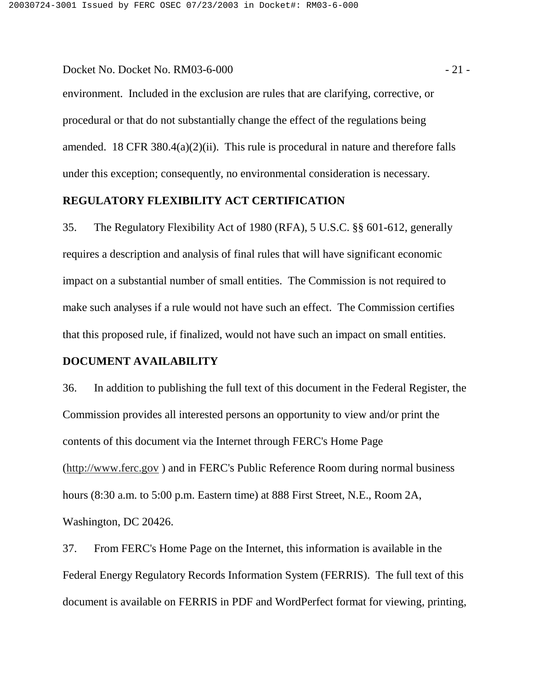#### Docket No. Docket No. RM03-6-000 - 21 -

environment. Included in the exclusion are rules that are clarifying, corrective, or procedural or that do not substantially change the effect of the regulations being amended. 18 CFR  $380.4(a)(2)(ii)$ . This rule is procedural in nature and therefore falls under this exception; consequently, no environmental consideration is necessary.

#### **REGULATORY FLEXIBILITY ACT CERTIFICATION**

35. The Regulatory Flexibility Act of 1980 (RFA), 5 U.S.C. §§ 601-612, generally requires a description and analysis of final rules that will have significant economic impact on a substantial number of small entities. The Commission is not required to make such analyses if a rule would not have such an effect. The Commission certifies that this proposed rule, if finalized, would not have such an impact on small entities.

#### **DOCUMENT AVAILABILITY**

36. In addition to publishing the full text of this document in the Federal Register, the Commission provides all interested persons an opportunity to view and/or print the contents of this document via the Internet through FERC's Home Page (http://www.ferc.gov ) and in FERC's Public Reference Room during normal business hours (8:30 a.m. to 5:00 p.m. Eastern time) at 888 First Street, N.E., Room 2A, Washington, DC 20426.

37. From FERC's Home Page on the Internet, this information is available in the Federal Energy Regulatory Records Information System (FERRIS). The full text of this document is available on FERRIS in PDF and WordPerfect format for viewing, printing,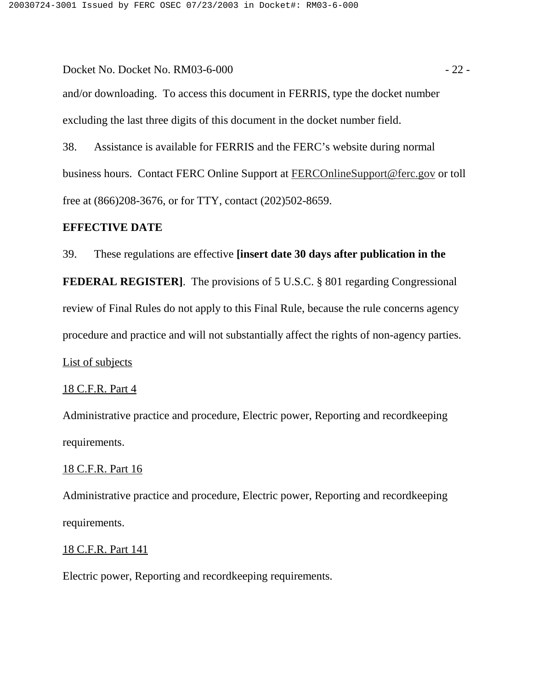#### Docket No. Docket No. RM03-6-000 - 22 -

and/or downloading. To access this document in FERRIS, type the docket number excluding the last three digits of this document in the docket number field.

38. Assistance is available for FERRIS and the FERC's website during normal business hours. Contact FERC Online Support at FERCOnlineSupport@ferc.gov or toll free at (866)208-3676, or for TTY, contact (202)502-8659.

#### **EFFECTIVE DATE**

39. These regulations are effective **[insert date 30 days after publication in the FEDERAL REGISTER**]. The provisions of 5 U.S.C. § 801 regarding Congressional review of Final Rules do not apply to this Final Rule, because the rule concerns agency procedure and practice and will not substantially affect the rights of non-agency parties. List of subjects

#### 18 C.F.R. Part 4

Administrative practice and procedure, Electric power, Reporting and recordkeeping requirements.

#### 18 C.F.R. Part 16

Administrative practice and procedure, Electric power, Reporting and recordkeeping requirements.

#### 18 C.F.R. Part 141

Electric power, Reporting and recordkeeping requirements.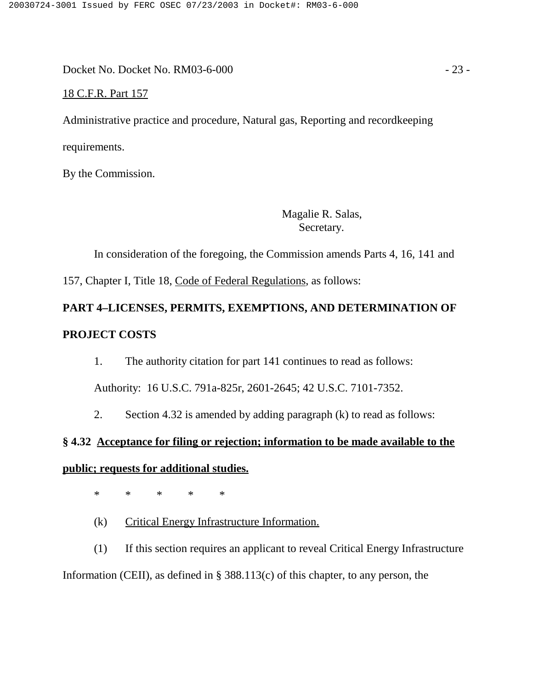Docket No. Docket No. RM03-6-000 - 23 -

#### 18 C.F.R. Part 157

Administrative practice and procedure, Natural gas, Reporting and recordkeeping requirements.

By the Commission.

Magalie R. Salas, Secretary.

In consideration of the foregoing, the Commission amends Parts 4, 16, 141 and

157, Chapter I, Title 18, Code of Federal Regulations, as follows:

### **PART 4–LICENSES, PERMITS, EXEMPTIONS, AND DETERMINATION OF PROJECT COSTS**

1. The authority citation for part 141 continues to read as follows:

Authority: 16 U.S.C. 791a-825r, 2601-2645; 42 U.S.C. 7101-7352.

2. Section 4.32 is amended by adding paragraph (k) to read as follows:

### **§ 4.32 Acceptance for filing or rejection; information to be made available to the public; requests for additional studies.**

\*\*\*\*\*

(k) Critical Energy Infrastructure Information.

(1) If this section requires an applicant to reveal Critical Energy Infrastructure Information (CEII), as defined in § 388.113(c) of this chapter, to any person, the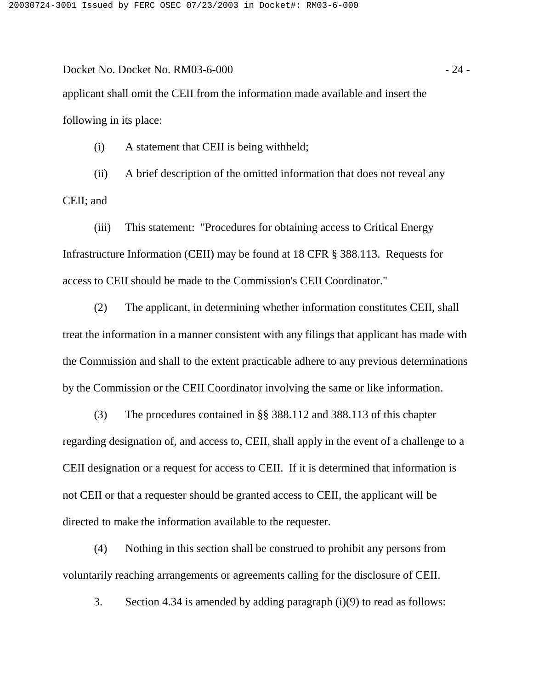Docket No. Docket No. RM03-6-000 - 24 applicant shall omit the CEII from the information made available and insert the following in its place:

(i) A statement that CEII is being withheld;

(ii) A brief description of the omitted information that does not reveal any CEII; and

(iii) This statement: "Procedures for obtaining access to Critical Energy Infrastructure Information (CEII) may be found at 18 CFR § 388.113. Requests for access to CEII should be made to the Commission's CEII Coordinator."

(2) The applicant, in determining whether information constitutes CEII, shall treat the information in a manner consistent with any filings that applicant has made with the Commission and shall to the extent practicable adhere to any previous determinations by the Commission or the CEII Coordinator involving the same or like information.

(3) The procedures contained in §§ 388.112 and 388.113 of this chapter regarding designation of, and access to, CEII, shall apply in the event of a challenge to a CEII designation or a request for access to CEII. If it is determined that information is not CEII or that a requester should be granted access to CEII, the applicant will be directed to make the information available to the requester.

(4) Nothing in this section shall be construed to prohibit any persons from voluntarily reaching arrangements or agreements calling for the disclosure of CEII.

3. Section 4.34 is amended by adding paragraph (i)(9) to read as follows: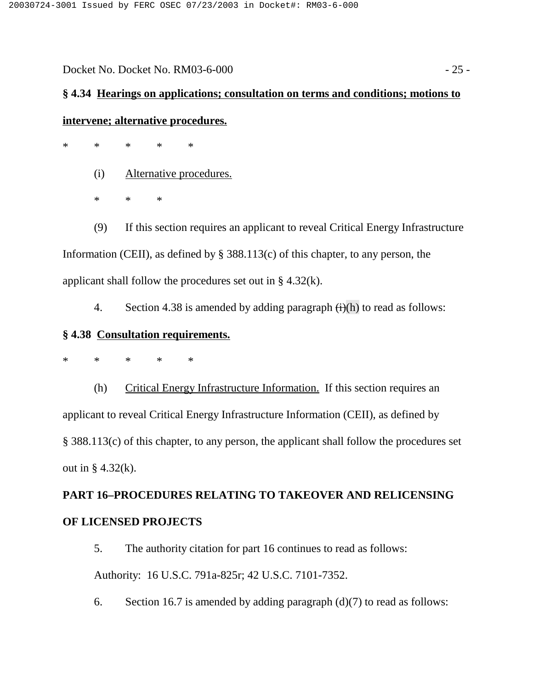Docket No. Docket No. RM03-6-000 - 25 -

# **§ 4.34 Hearings on applications; consultation on terms and conditions; motions to**

#### **intervene; alternative procedures.**

\*\*\*\*\*

- (i) Alternative procedures.
- \*\*\*

(9) If this section requires an applicant to reveal Critical Energy Infrastructure Information (CEII), as defined by § 388.113(c) of this chapter, to any person, the applicant shall follow the procedures set out in  $\S$  4.32(k).

4. Section 4.38 is amended by adding paragraph  $\overrightarrow{(t)}(h)$  to read as follows:

#### **§ 4.38 Consultation requirements.**

\*\*\*\*\*

(h) Critical Energy Infrastructure Information. If this section requires an applicant to reveal Critical Energy Infrastructure Information (CEII), as defined by § 388.113(c) of this chapter, to any person, the applicant shall follow the procedures set out in  $§$  4.32(k).

### **PART 16–PROCEDURES RELATING TO TAKEOVER AND RELICENSING OF LICENSED PROJECTS**

5. The authority citation for part 16 continues to read as follows: Authority: 16 U.S.C. 791a-825r; 42 U.S.C. 7101-7352.

6. Section 16.7 is amended by adding paragraph (d)(7) to read as follows: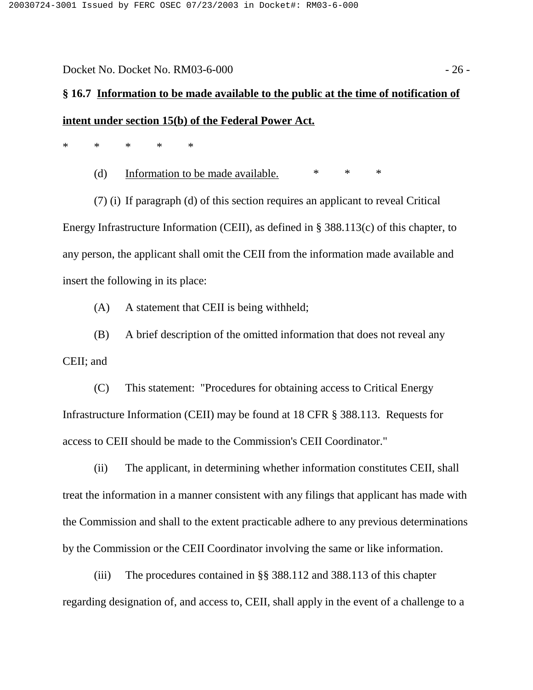#### Docket No. Docket No. RM03-6-000 - 26 -

### **§ 16.7 Information to be made available to the public at the time of notification of intent under section 15(b) of the Federal Power Act.**

\*\*\*\*\*

(d) Information to be made available.  $*****$ 

(7) (i) If paragraph (d) of this section requires an applicant to reveal Critical Energy Infrastructure Information (CEII), as defined in § 388.113(c) of this chapter, to any person, the applicant shall omit the CEII from the information made available and insert the following in its place:

(A) A statement that CEII is being withheld;

(B) A brief description of the omitted information that does not reveal any CEII; and

(C) This statement: "Procedures for obtaining access to Critical Energy Infrastructure Information (CEII) may be found at 18 CFR § 388.113. Requests for access to CEII should be made to the Commission's CEII Coordinator."

(ii) The applicant, in determining whether information constitutes CEII, shall treat the information in a manner consistent with any filings that applicant has made with the Commission and shall to the extent practicable adhere to any previous determinations by the Commission or the CEII Coordinator involving the same or like information.

(iii) The procedures contained in §§ 388.112 and 388.113 of this chapter regarding designation of, and access to, CEII, shall apply in the event of a challenge to a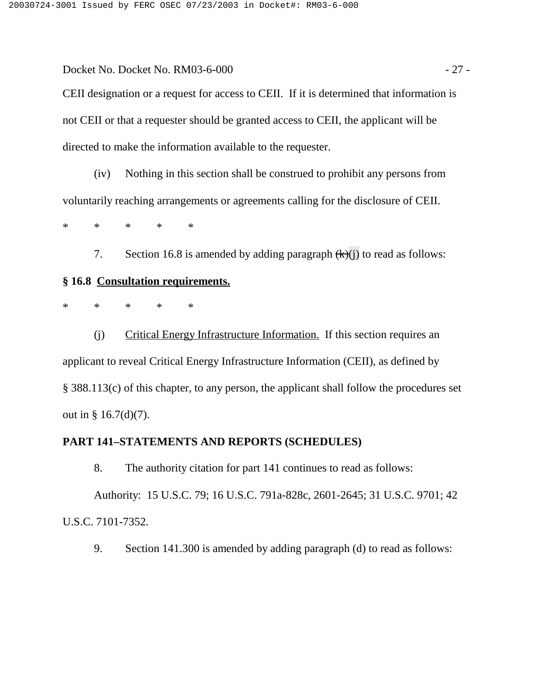#### Docket No. Docket No. RM03-6-000 - 27 -

CEII designation or a request for access to CEII. If it is determined that information is not CEII or that a requester should be granted access to CEII, the applicant will be directed to make the information available to the requester.

(iv) Nothing in this section shall be construed to prohibit any persons from voluntarily reaching arrangements or agreements calling for the disclosure of CEII.

\*\*\*\*\*

7. Section 16.8 is amended by adding paragraph  $(\frac{k}{k})(i)$  to read as follows:

#### **§ 16.8 Consultation requirements.**

\*\*\*\*\*

(j) Critical Energy Infrastructure Information. If this section requires an applicant to reveal Critical Energy Infrastructure Information (CEII), as defined by § 388.113(c) of this chapter, to any person, the applicant shall follow the procedures set out in § 16.7(d)(7).

#### **PART 141–STATEMENTS AND REPORTS (SCHEDULES)**

8. The authority citation for part 141 continues to read as follows:

Authority: 15 U.S.C. 79; 16 U.S.C. 791a-828c, 2601-2645; 31 U.S.C. 9701; 42 U.S.C. 7101-7352.

9. Section 141.300 is amended by adding paragraph (d) to read as follows: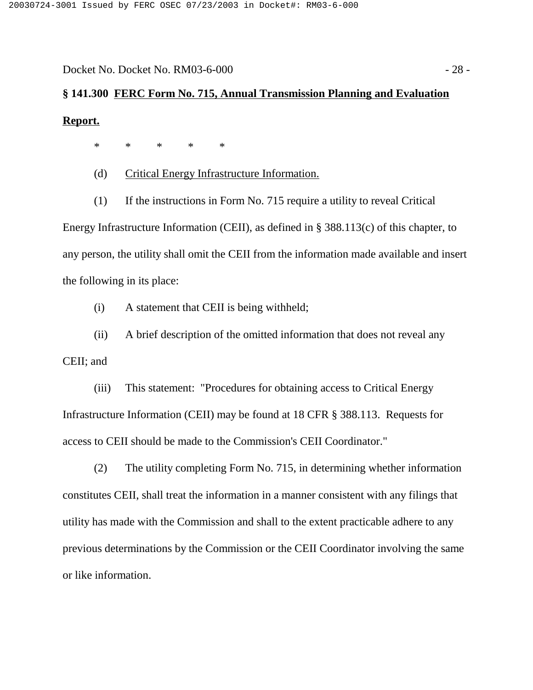#### Docket No. Docket No. RM03-6-000 - 28 -

### **§ 141.300 FERC Form No. 715, Annual Transmission Planning and Evaluation Report.**

\*\*\*\*\*

(d) Critical Energy Infrastructure Information.

(1) If the instructions in Form No. 715 require a utility to reveal Critical Energy Infrastructure Information (CEII), as defined in § 388.113(c) of this chapter, to any person, the utility shall omit the CEII from the information made available and insert the following in its place:

(i) A statement that CEII is being withheld;

(ii) A brief description of the omitted information that does not reveal any

CEII; and

(iii) This statement: "Procedures for obtaining access to Critical Energy Infrastructure Information (CEII) may be found at 18 CFR § 388.113. Requests for access to CEII should be made to the Commission's CEII Coordinator."

(2) The utility completing Form No. 715, in determining whether information constitutes CEII, shall treat the information in a manner consistent with any filings that utility has made with the Commission and shall to the extent practicable adhere to any previous determinations by the Commission or the CEII Coordinator involving the same or like information.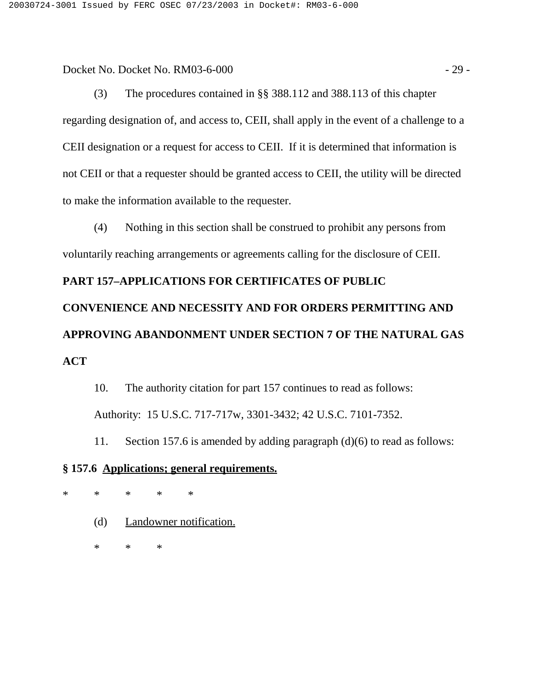Docket No. Docket No. RM03-6-000 - 29 -

(3) The procedures contained in §§ 388.112 and 388.113 of this chapter regarding designation of, and access to, CEII, shall apply in the event of a challenge to a CEII designation or a request for access to CEII. If it is determined that information is not CEII or that a requester should be granted access to CEII, the utility will be directed to make the information available to the requester.

(4) Nothing in this section shall be construed to prohibit any persons from voluntarily reaching arrangements or agreements calling for the disclosure of CEII.

#### **PART 157–APPLICATIONS FOR CERTIFICATES OF PUBLIC**

## **CONVENIENCE AND NECESSITY AND FOR ORDERS PERMITTING AND APPROVING ABANDONMENT UNDER SECTION 7 OF THE NATURAL GAS ACT**

10. The authority citation for part 157 continues to read as follows: Authority: 15 U.S.C. 717-717w, 3301-3432; 42 U.S.C. 7101-7352.

11. Section 157.6 is amended by adding paragraph (d)(6) to read as follows: **§ 157.6 Applications; general requirements.**

\*\*\*\*\*

(d) Landowner notification.

\*\*\*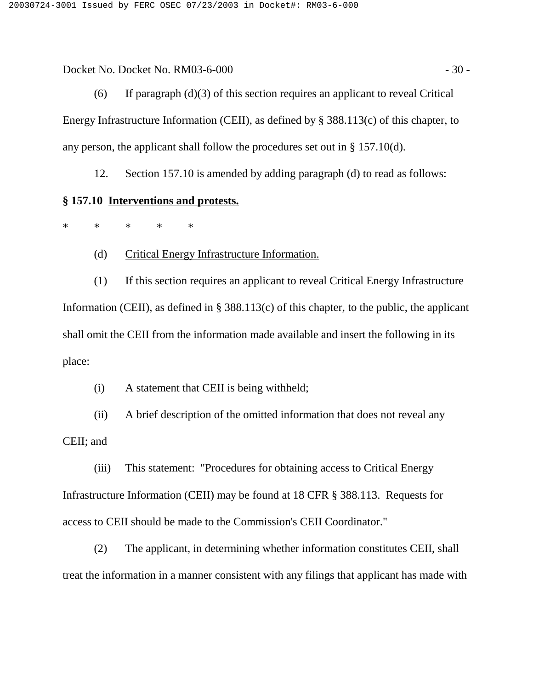Docket No. Docket No. RM03-6-000 - 30 - 30 -

(6) If paragraph  $(d)(3)$  of this section requires an applicant to reveal Critical Energy Infrastructure Information (CEII), as defined by § 388.113(c) of this chapter, to any person, the applicant shall follow the procedures set out in § 157.10(d).

12. Section 157.10 is amended by adding paragraph (d) to read as follows:

#### **§ 157.10 Interventions and protests.**

\*\*\*\*\*

(d) Critical Energy Infrastructure Information.

(1) If this section requires an applicant to reveal Critical Energy Infrastructure Information (CEII), as defined in  $\S$  388.113(c) of this chapter, to the public, the applicant shall omit the CEII from the information made available and insert the following in its place:

(i) A statement that CEII is being withheld;

(ii) A brief description of the omitted information that does not reveal any CEII; and

(iii) This statement: "Procedures for obtaining access to Critical Energy Infrastructure Information (CEII) may be found at 18 CFR § 388.113. Requests for access to CEII should be made to the Commission's CEII Coordinator."

(2) The applicant, in determining whether information constitutes CEII, shall treat the information in a manner consistent with any filings that applicant has made with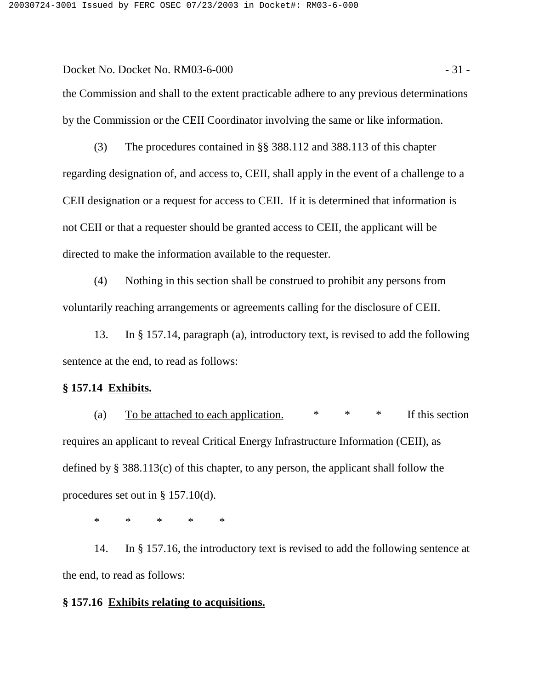#### Docket No. Docket No. RM03-6-000 - 31 -

the Commission and shall to the extent practicable adhere to any previous determinations by the Commission or the CEII Coordinator involving the same or like information.

(3) The procedures contained in §§ 388.112 and 388.113 of this chapter regarding designation of, and access to, CEII, shall apply in the event of a challenge to a CEII designation or a request for access to CEII. If it is determined that information is not CEII or that a requester should be granted access to CEII, the applicant will be directed to make the information available to the requester.

(4) Nothing in this section shall be construed to prohibit any persons from voluntarily reaching arrangements or agreements calling for the disclosure of CEII.

13. In § 157.14, paragraph (a), introductory text, is revised to add the following sentence at the end, to read as follows:

#### **§ 157.14 Exhibits.**

(a) To be attached to each application.  $*$  \* \* If this section requires an applicant to reveal Critical Energy Infrastructure Information (CEII), as defined by § 388.113(c) of this chapter, to any person, the applicant shall follow the procedures set out in § 157.10(d).

\*<mark>\*</mark>

14. In § 157.16, the introductory text is revised to add the following sentence at the end, to read as follows:

#### **§ 157.16 Exhibits relating to acquisitions.**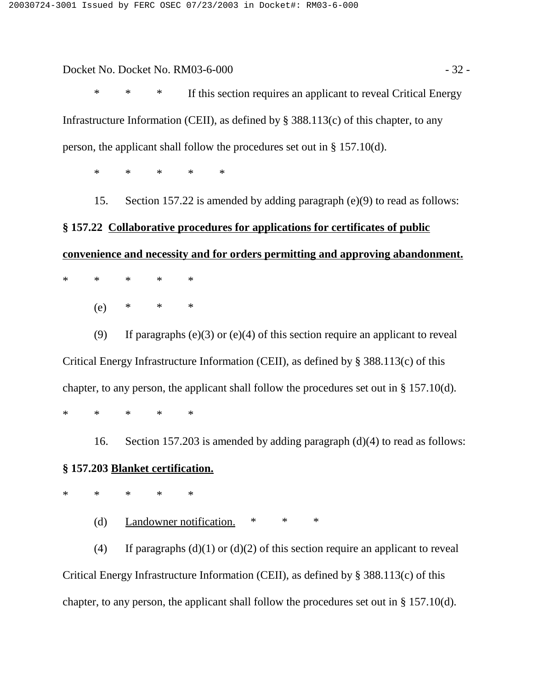#### Docket No. Docket No. RM03-6-000 - 32 -

\* \* \* If this section requires an applicant to reveal Critical Energy Infrastructure Information (CEII), as defined by § 388.113(c) of this chapter, to any person, the applicant shall follow the procedures set out in § 157.10(d).

\*\*\*\*\*

15. Section 157.22 is amended by adding paragraph (e)(9) to read as follows:

### **§ 157.22 Collaborative procedures for applications for certificates of public**

**convenience and necessity and for orders permitting and approving abandonment.**

- \*\*\*\*\*
	- (e) \* \* \*

(9) If paragraphs (e)(3) or (e)(4) of this section require an applicant to reveal Critical Energy Infrastructure Information (CEII), as defined by § 388.113(c) of this chapter, to any person, the applicant shall follow the procedures set out in § 157.10(d). \*\*\*\*\*

16. Section 157.203 is amended by adding paragraph (d)(4) to read as follows: **§ 157.203 Blanket certification.**

\*\*\*\*\*

(d) Landowner notification. \*\*\*\*

(4) If paragraphs  $(d)(1)$  or  $(d)(2)$  of this section require an applicant to reveal Critical Energy Infrastructure Information (CEII), as defined by § 388.113(c) of this chapter, to any person, the applicant shall follow the procedures set out in § 157.10(d).